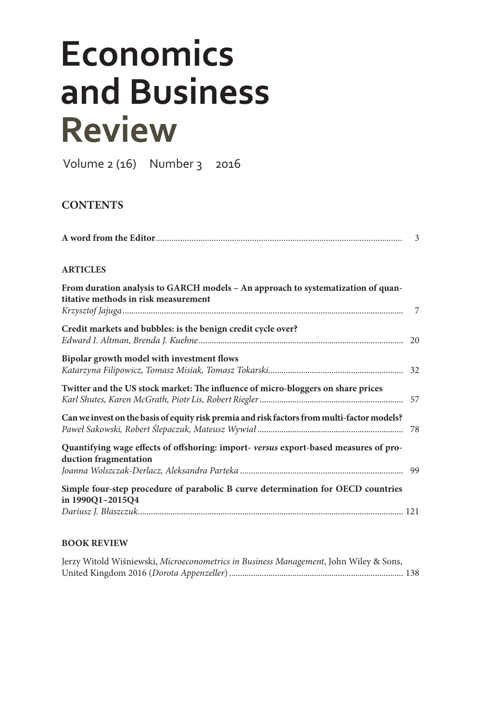## **Economics** and Business **Review**

Volume 2 (16) Number 3 2016

## **CONTENTS**

| <b>ARTICLES</b>                                                                                                          |  |
|--------------------------------------------------------------------------------------------------------------------------|--|
| From duration analysis to GARCH models - An approach to systematization of quan-<br>titative methods in risk measurement |  |
| Credit markets and bubbles: is the benign credit cycle over?                                                             |  |
| Bipolar growth model with investment flows                                                                               |  |
| Twitter and the US stock market: The influence of micro-bloggers on share prices                                         |  |
| Can we invest on the basis of equity risk premia and risk factors from multi-factor models?                              |  |
| Quantifying wage effects of offshoring: import-versus export-based measures of pro-<br>duction fragmentation             |  |
| Simple four-step procedure of parabolic B curve determination for OECD countries<br>in 1990Q1-2015Q4                     |  |

## **BOOK REVIEW**

| Jerzy Witold Wiśniewski, Microeconometrics in Business Management, John Wiley & Sons, |  |
|---------------------------------------------------------------------------------------|--|
|                                                                                       |  |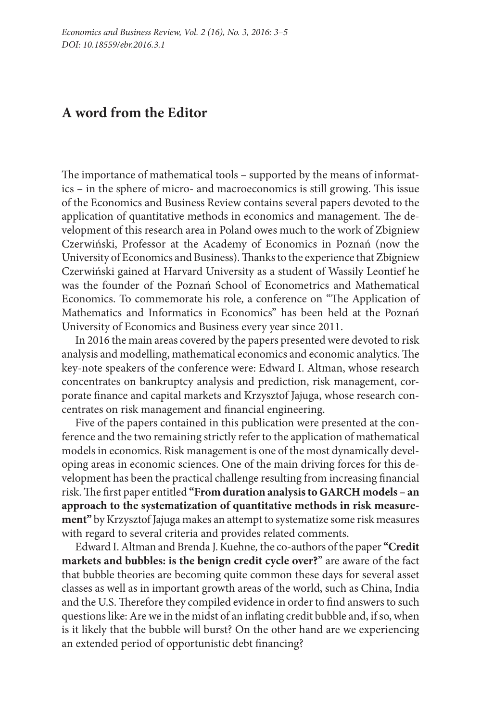## **A word from the Editor**

The importance of mathematical tools – supported by the means of informatics – in the sphere of micro- and macroeconomics is still growing. This issue of the Economics and Business Review contains several papers devoted to the application of quantitative methods in economics and management. The development of this research area in Poland owes much to the work of Zbigniew Czerwiński, Professor at the Academy of Economics in Poznań (now the University of Economics and Business). Thanks to the experience that Zbigniew Czerwiński gained at Harvard University as a student of Wassily Leontief he was the founder of the Poznań School of Econometrics and Mathematical Economics. To commemorate his role, a conference on "The Application of Mathematics and Informatics in Economics" has been held at the Poznań University of Economics and Business every year since 2011.

In 2016 the main areas covered by the papers presented were devoted to risk analysis and modelling, mathematical economics and economic analytics. The key-note speakers of the conference were: Edward I. Altman, whose research concentrates on bankruptcy analysis and prediction, risk management, corporate finance and capital markets and Krzysztof Jajuga, whose research concentrates on risk management and financial engineering.

Five of the papers contained in this publication were presented at the conference and the two remaining strictly refer to the application of mathematical models in economics. Risk management is one of the most dynamically developing areas in economic sciences. One of the main driving forces for this development has been the practical challenge resulting from increasing financial risk. The first paper entitled **"From duration analysis to GARCH models – an approach to the systematization of quantitative methods in risk measure‑ ment"** by Krzysztof Jajuga makes an attempt to systematize some risk measures with regard to several criteria and provides related comments.

Edward I. Altman and Brenda J. Kuehne*,* the co-authors of the paper **"Credit markets and bubbles: is the benign credit cycle over?**" are aware of the fact that bubble theories are becoming quite common these days for several asset classes as well as in important growth areas of the world, such as China, India and the U.S. Therefore they compiled evidence in order to find answers to such questions like: Are we in the midst of an inflating credit bubble and, if so, when is it likely that the bubble will burst? On the other hand are we experiencing an extended period of opportunistic debt financing?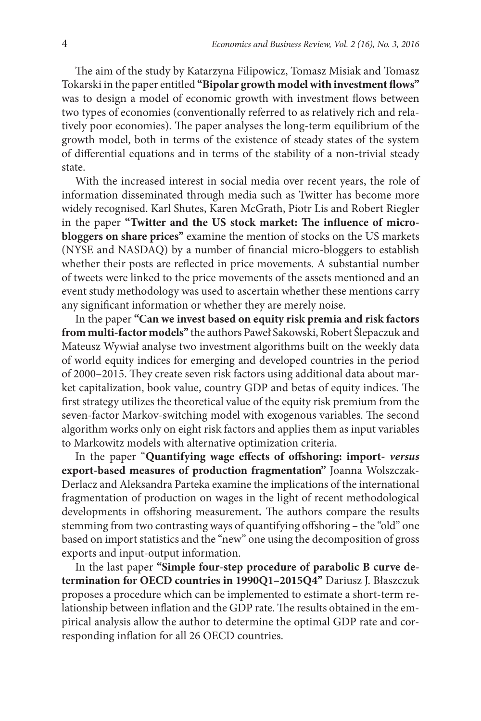The aim of the study by Katarzyna Filipowicz, Tomasz Misiak and Tomasz Tokarski in the paper entitled **"Bipolar growth model with investment flows"** was to design a model of economic growth with investment flows between two types of economies (conventionally referred to as relatively rich and relatively poor economies). The paper analyses the long-term equilibrium of the growth model, both in terms of the existence of steady states of the system of differential equations and in terms of the stability of a non-trivial steady state.

With the increased interest in social media over recent years, the role of information disseminated through media such as Twitter has become more widely recognised. Karl Shutes, Karen McGrath, Piotr Lis and Robert Riegler in the paper **"Twitter and the US stock market: The influence of microbloggers on share prices"** examine the mention of stocks on the US markets (NYSE and NASDAQ) by a number of financial micro-bloggers to establish whether their posts are reflected in price movements. A substantial number of tweets were linked to the price movements of the assets mentioned and an event study methodology was used to ascertain whether these mentions carry any significant information or whether they are merely noise.

In the paper **"Can we invest based on equity risk premia and risk factors from multi-factor models"** the authors Paweł Sakowski, Robert Ślepaczuk and Mateusz Wywiał analyse two investment algorithms built on the weekly data of world equity indices for emerging and developed countries in the period of 2000–2015. They create seven risk factors using additional data about market capitalization, book value, country GDP and betas of equity indices. The first strategy utilizes the theoretical value of the equity risk premium from the seven-factor Markov-switching model with exogenous variables. The second algorithm works only on eight risk factors and applies them as input variables to Markowitz models with alternative optimization criteria.

In the paper "**Quantifying wage effects of offshoring: import-** *versus* **export-based measures of production fragmentation"** Joanna Wolszczak-Derlacz and Aleksandra Parteka examine the implications of the international fragmentation of production on wages in the light of recent methodological developments in offshoring measurement**.** The authors compare the results stemming from two contrasting ways of quantifying offshoring – the "old" one based on import statistics and the "new" one using the decomposition of gross exports and input-output information.

In the last paper **"Simple four-step procedure of parabolic B curve de‑ termination for OECD countries in 1990Q1–2015Q4"** Dariusz J. Błaszczuk proposes a procedure which can be implemented to estimate a short-term relationship between inflation and the GDP rate. The results obtained in the empirical analysis allow the author to determine the optimal GDP rate and corresponding inflation for all 26 OECD countries.